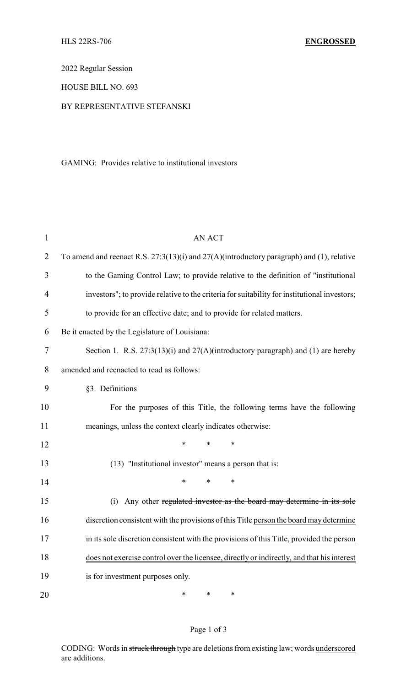2022 Regular Session

HOUSE BILL NO. 693

## BY REPRESENTATIVE STEFANSKI

GAMING: Provides relative to institutional investors

| 1              | <b>AN ACT</b>                                                                                 |
|----------------|-----------------------------------------------------------------------------------------------|
| $\overline{2}$ | To amend and reenact R.S. $27:3(13)(i)$ and $27(A)(introductory paragraph)$ and (1), relative |
| 3              | to the Gaming Control Law; to provide relative to the definition of "institutional            |
| $\overline{4}$ | investors"; to provide relative to the criteria for suitability for institutional investors;  |
| 5              | to provide for an effective date; and to provide for related matters.                         |
| 6              | Be it enacted by the Legislature of Louisiana:                                                |
| 7              | Section 1. R.S. $27:3(13)(i)$ and $27(A)(introductory paragraph)$ and (1) are hereby          |
| 8              | amended and reenacted to read as follows:                                                     |
| 9              | §3. Definitions                                                                               |
| 10             | For the purposes of this Title, the following terms have the following                        |
| 11             | meanings, unless the context clearly indicates otherwise:                                     |
| 12             | *<br>$\ast$<br>*                                                                              |
| 13             | (13) "Institutional investor" means a person that is:                                         |
| 14             | $\ast$<br>*<br>*                                                                              |
| 15             | (i) Any other regulated investor as the board may determine in its sole                       |
| 16             | discretion consistent with the provisions of this Title person the board may determine        |
| 17             | in its sole discretion consistent with the provisions of this Title, provided the person      |
| 18             | does not exercise control over the licensee, directly or indirectly, and that his interest    |
| 19             | is for investment purposes only.                                                              |
| 20             | $\ast$<br>*<br>∗                                                                              |

## Page 1 of 3

CODING: Words in struck through type are deletions from existing law; words underscored are additions.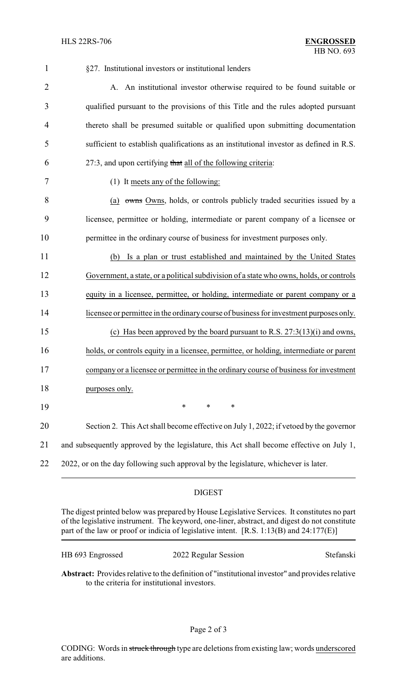| 1              | §27. Institutional investors or institutional lenders                                    |
|----------------|------------------------------------------------------------------------------------------|
| $\overline{2}$ | A. An institutional investor otherwise required to be found suitable or                  |
| 3              | qualified pursuant to the provisions of this Title and the rules adopted pursuant        |
| $\overline{4}$ | thereto shall be presumed suitable or qualified upon submitting documentation            |
| 5              | sufficient to establish qualifications as an institutional investor as defined in R.S.   |
| 6              | 27:3, and upon certifying that all of the following criteria:                            |
| 7              | (1) It meets any of the following:                                                       |
| 8              | (a) owns Owns, holds, or controls publicly traded securities issued by a                 |
| 9              | licensee, permittee or holding, intermediate or parent company of a licensee or          |
| 10             | permittee in the ordinary course of business for investment purposes only.               |
| 11             | Is a plan or trust established and maintained by the United States<br>(b)                |
| 12             | Government, a state, or a political subdivision of a state who owns, holds, or controls  |
| 13             | equity in a licensee, permittee, or holding, intermediate or parent company or a         |
| 14             | licensee or permittee in the ordinary course of business for investment purposes only.   |
| 15             | (c) Has been approved by the board pursuant to R.S. $27:3(13)(i)$ and owns,              |
| 16             | holds, or controls equity in a licensee, permittee, or holding, intermediate or parent   |
| 17             | company or a licensee or permittee in the ordinary course of business for investment     |
| 18             | purposes only.                                                                           |
| 19             | $\ast$<br>$\ast$<br>$\ast$                                                               |
| 20             | Section 2. This Act shall become effective on July 1, 2022; if vetoed by the governor    |
| 21             | and subsequently approved by the legislature, this Act shall become effective on July 1, |
| 22             | 2022, or on the day following such approval by the legislature, whichever is later.      |
|                |                                                                                          |

## DIGEST

The digest printed below was prepared by House Legislative Services. It constitutes no part of the legislative instrument. The keyword, one-liner, abstract, and digest do not constitute part of the law or proof or indicia of legislative intent. [R.S. 1:13(B) and 24:177(E)]

HB 693 Engrossed 2022 Regular Session Stefanski

**Abstract:** Provides relative to the definition of "institutional investor" and provides relative to the criteria for institutional investors.